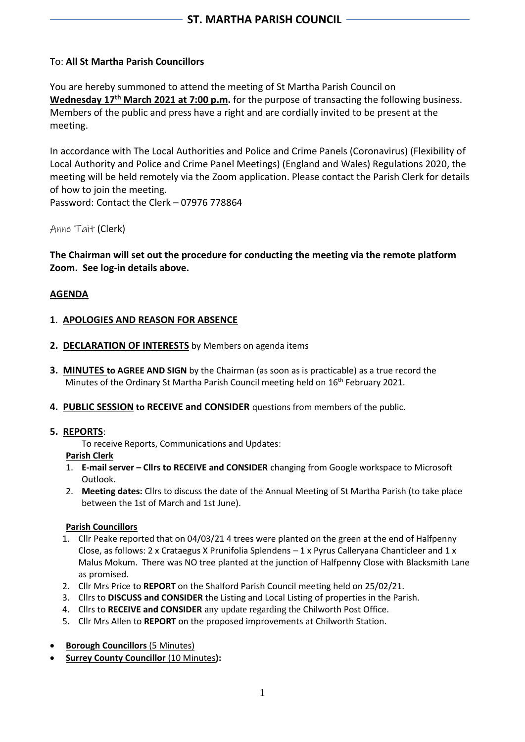# To: **All St Martha Parish Councillors**

You are hereby summoned to attend the meeting of St Martha Parish Council on **Wednesday 17 th March 2021 at 7:00 p.m.** for the purpose of transacting the following business. Members of the public and press have a right and are cordially invited to be present at the meeting.

In accordance with The Local Authorities and Police and Crime Panels (Coronavirus) (Flexibility of Local Authority and Police and Crime Panel Meetings) (England and Wales) Regulations 2020, the meeting will be held remotely via the Zoom application. Please contact the Parish Clerk for details of how to join the meeting.

Password: Contact the Clerk – 07976 778864

Anne Tait (Clerk)

**The Chairman will set out the procedure for conducting the meeting via the remote platform Zoom. See log-in details above.**

# **AGENDA**

### **1**. **APOLOGIES AND REASON FOR ABSENCE**

- **2. DECLARATION OF INTERESTS** by Members on agenda items
- **3. MINUTES to AGREE AND SIGN** by the Chairman (as soon as is practicable) as a true record the Minutes of the Ordinary St Martha Parish Council meeting held on 16<sup>th</sup> February 2021.
- **4. PUBLIC SESSION to RECEIVE and CONSIDER** questions from members of the public.

### **5. REPORTS**:

To receive Reports, Communications and Updates:

**Parish Clerk**

- 1. **E-mail server – Cllrs to RECEIVE and CONSIDER** changing from Google workspace to Microsoft Outlook.
- 2. **Meeting dates:** Cllrs to discuss the date of the Annual Meeting of St Martha Parish (to take place between the 1st of March and 1st June).

### **Parish Councillors**

- 1. Cllr Peake reported that on 04/03/21 4 trees were planted on the green at the end of Halfpenny Close, as follows: 2 x Crataegus X Prunifolia Splendens  $-1$  x Pyrus Calleryana Chanticleer and 1 x Malus Mokum. There was NO tree planted at the junction of Halfpenny Close with Blacksmith Lane as promised.
- 2. Cllr Mrs Price to **REPORT** on the Shalford Parish Council meeting held on 25/02/21.
- 3. Cllrs to **DISCUSS and CONSIDER** the Listing and Local Listing of properties in the Parish.
- 4. Cllrs to **RECEIVE and CONSIDER** any update regarding the Chilworth Post Office.
- 5. Cllr Mrs Allen to **REPORT** on the proposed improvements at Chilworth Station.
- **Borough Councillors** (5 Minutes)
- **Surrey County Councillor** (10 Minutes**):**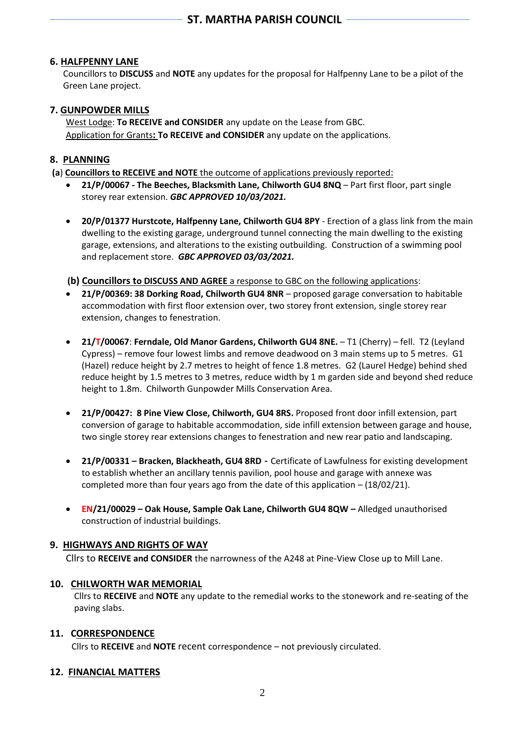# **6. HALFPENNY LANE**

 Councillors to **DISCUSS** and **NOTE** any updates for the proposal for Halfpenny Lane to be a pilot of the Green Lane project.

### **7. GUNPOWDER MILLS**

West Lodge: **To RECEIVE and CONSIDER** any update on the Lease from GBC. Application for Grants**: To RECEIVE and CONSIDER** any update on the applications.

### **8. PLANNING**

**(a**) **Councillors to RECEIVE and NOTE** the outcome of applications previously reported:

- **21/P/00067 - The Beeches, Blacksmith Lane, Chilworth GU4 8NQ** Part first floor, part single storey rear extension. *GBC APPROVED 10/03/2021.*
- **20/P/01377 Hurstcote, Halfpenny Lane, Chilworth GU4 8PY** Erection of a glass link from the main dwelling to the existing garage, underground tunnel connecting the main dwelling to the existing garage, extensions, and alterations to the existing outbuilding. Construction of a swimming pool and replacement store. *GBC APPROVED 03/03/2021.*

 **(b) Councillors to DISCUSS AND AGREE** a response to GBC on the following applications:

- **21/P/00369: 38 Dorking Road, Chilworth GU4 8NR** proposed garage conversation to habitable accommodation with first floor extension over, two storey front extension, single storey rear extension, changes to fenestration.
- **21/T/00067**: **Ferndale, Old Manor Gardens, Chilworth GU4 8NE.** T1 (Cherry) fell. T2 (Leyland Cypress) – remove four lowest limbs and remove deadwood on 3 main stems up to 5 metres. G1 (Hazel) reduce height by 2.7 metres to height of fence 1.8 metres. G2 (Laurel Hedge) behind shed reduce height by 1.5 metres to 3 metres, reduce width by 1 m garden side and beyond shed reduce height to 1.8m. Chilworth Gunpowder Mills Conservation Area.
- **21/P/00427: 8 Pine View Close, Chilworth, GU4 8RS.** Proposed front door infill extension, part conversion of garage to habitable accommodation, side infill extension between garage and house, two single storey rear extensions changes to fenestration and new rear patio and landscaping.
- **21/P/00331 – Bracken, Blackheath, GU4 8RD -** Certificate of Lawfulness for existing development to establish whether an ancillary tennis pavilion, pool house and garage with annexe was completed more than four years ago from the date of this application – (18/02/21).
- **EN/21/00029 – Oak House, Sample Oak Lane, Chilworth GU4 8QW –** Alledged unauthorised construction of industrial buildings.

### **9. HIGHWAYS AND RIGHTS OF WAY**

Cllrs to **RECEIVE and CONSIDER** the narrowness of the A248 at Pine-View Close up to Mill Lane.

### **10. CHILWORTH WAR MEMORIAL**

Cllrs to **RECEIVE** and **NOTE** any update to the remedial works to the stonework and re-seating of the paving slabs.

### **11. CORRESPONDENCE**

Cllrs to **RECEIVE** and **NOTE** recent correspondence – not previously circulated.

### **12. FINANCIAL MATTERS**